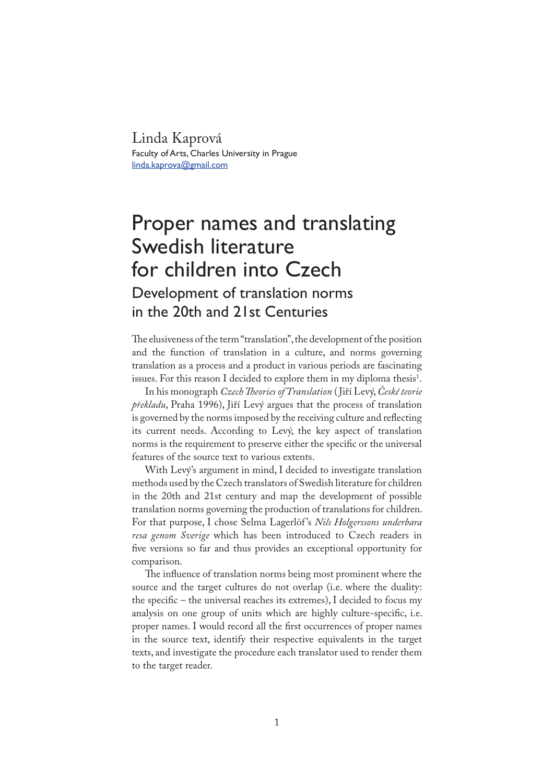Linda Kaprová Faculty of Arts, Charles University in Prague linda.kaprova@gmail.com

## Proper names and translating Swedish literature for children into Czech Development of translation norms in the 20th and 21st Centuries

�e elusiveness of the term "translation", the development of the position and the function of translation in a culture, and norms governing translation as a process and a product in various periods are fascinating issues. For this reason I decided to explore them in my diploma thesis $^1$ .

In his monograph *Czech �eories of Translation* ( Jiří Levý, *České teorie překladu*, Praha 1996), Jiří Levý argues that the process of translation is governed by the norms imposed by the receiving culture and reflecting its current needs. According to Levý, the key aspect of translation norms is the requirement to preserve either the specific or the universal features of the source text to various extents.

With Levý's argument in mind, I decided to investigate translation methods used by the Czech translators of Swedish literature for children in the 20th and 21st century and map the development of possible translation norms governing the production of translations for children. For that purpose, I chose Selma Lagerlöf 's *Nils Holgerssons underbara resa genom Sverige* which has been introduced to Czech readers in five versions so far and thus provides an exceptional opportunity for comparison.

The influence of translation norms being most prominent where the source and the target cultures do not overlap (i.e. where the duality: the specific – the universal reaches its extremes), I decided to focus my analysis on one group of units which are highly culture-specific, i.e. proper names. I would record all the first occurrences of proper names in the source text, identify their respective equivalents in the target texts, and investigate the procedure each translator used to render them to the target reader.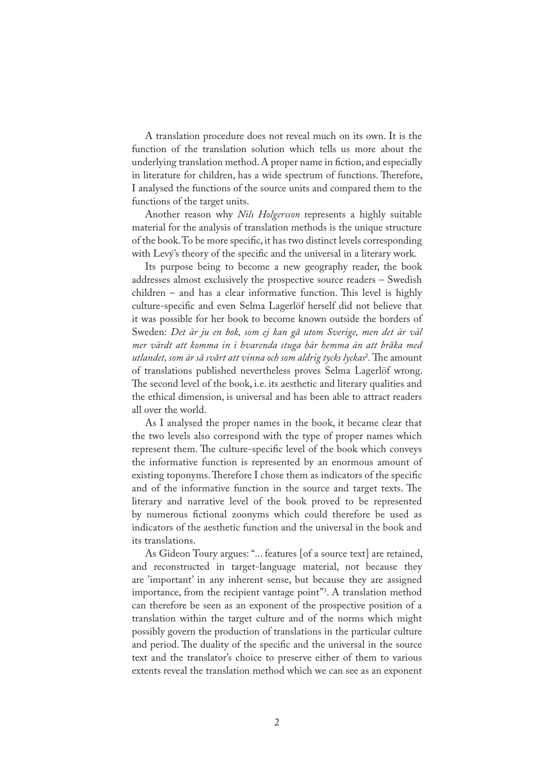A translation procedure does not reveal much on its own. It is the function of the translation solution which tells us more about the underlying translation method. A proper name in fiction, and especially in literature for children, has a wide spectrum of functions. Therefore, I analysed the functions of the source units and compared them to the functions of the target units.

Another reason why *Nils Holgersson* represents a highly suitable material for the analysis of translation methods is the unique structure of the book. To be more speci�c, it has two distinct levels corresponding with Levý's theory of the specific and the universal in a literary work.

Its purpose being to become a new geography reader, the book addresses almost exclusively the prospective source readers – Swedish  $children - and has a clear informative function. This level is highly$ culture-specific and even Selma Lagerlöf herself did not believe that it was possible for her book to become known outside the borders of Sweden: *Det är ju en bok, som ej kan gå utom Sverige, men det är väl mer värdt att komma in i hvarenda stuga här hemma än att bråka med utlandet, som är så svårt att vinna och som aldrig tycks lyckas*<sup>2</sup> *.* �e amount of translations published nevertheless proves Selma Lagerlöf wrong. �e second level of the book, i.e. its aesthetic and literary qualities and the ethical dimension, is universal and has been able to attract readers all over the world.

As I analysed the proper names in the book, it became clear that the two levels also correspond with the type of proper names which represent them. The culture-specific level of the book which conveys the informative function is represented by an enormous amount of existing toponyms. Therefore I chose them as indicators of the specific and of the informative function in the source and target texts. The literary and narrative level of the book proved to be represented by numerous �ctional zoonyms which could therefore be used as indicators of the aesthetic function and the universal in the book and its translations.

As Gideon Toury argues: "... features [of a source text] are retained, and reconstructed in target-language material, not because they are 'important' in any inherent sense, but because they are assigned importance, from the recipient vantage point"3 . A translation method can therefore be seen as an exponent of the prospective position of a translation within the target culture and of the norms which might possibly govern the production of translations in the particular culture and period. The duality of the specific and the universal in the source text and the translator's choice to preserve either of them to various extents reveal the translation method which we can see as an exponent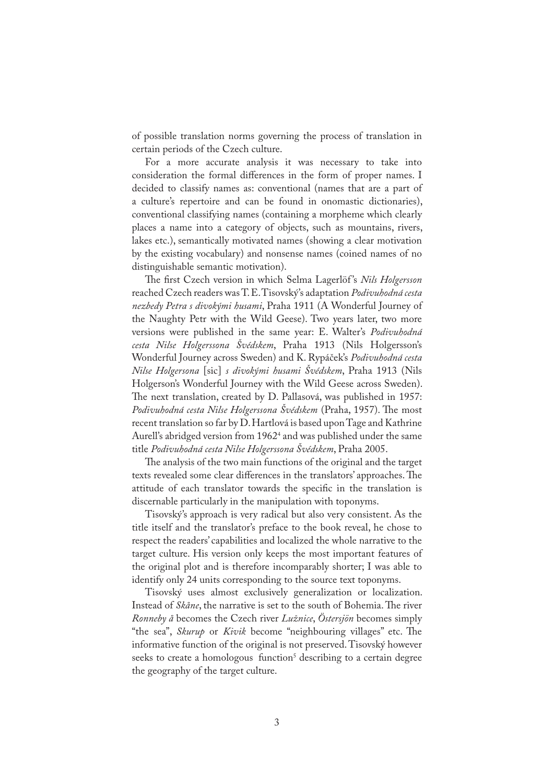of possible translation norms governing the process of translation in certain periods of the Czech culture.

For a more accurate analysis it was necessary to take into consideration the formal differences in the form of proper names. I decided to classify names as: conventional (names that are a part of a culture's repertoire and can be found in onomastic dictionaries), conventional classifying names (containing a morpheme which clearly places a name into a category of objects, such as mountains, rivers, lakes etc.), semantically motivated names (showing a clear motivation by the existing vocabulary) and nonsense names (coined names of no distinguishable semantic motivation).

�e �rst Czech version in which Selma Lagerlöf 's *Nils Holgersson* reached Czech readers was T. E. Tisovský's adaptation *Podivuhodná cesta nezbedy Petra s divokými husami*, Praha 1911 (A Wonderful Journey of the Naughty Petr with the Wild Geese). Two years later, two more versions were published in the same year: E. Walter's *Podivuhodná cesta Nilse Holgerssona Švédskem*, Praha 1913 (Nils Holgersson's Wonderful Journey across Sweden) and K. Rypáček's *Podivuhodná cesta Nilse Holgersona* [sic] *s divokými husami Švédskem*, Praha 1913 (Nils Holgerson's Wonderful Journey with the Wild Geese across Sweden). �e next translation, created by D. Pallasová, was published in 1957: *Podivuhodná cesta Nilse Holgerssona Švédskem* (Praha, 1957). �e most recent translation so far by D. Hartlová is based upon Tage and Kathrine Aurell's abridged version from 1962<sup>4</sup> and was published under the same title *Podivuhodná cesta Nilse Holgerssona Švédskem*, Praha 2005.

�e analysis of the two main functions of the original and the target texts revealed some clear differences in the translators' approaches. The attitude of each translator towards the specific in the translation is discernable particularly in the manipulation with toponyms.

Tisovský's approach is very radical but also very consistent. As the title itself and the translator's preface to the book reveal, he chose to respect the readers' capabilities and localized the whole narrative to the target culture. His version only keeps the most important features of the original plot and is therefore incomparably shorter; I was able to identify only 24 units corresponding to the source text toponyms.

Tisovský uses almost exclusively generalization or localization. Instead of *Skåne*, the narrative is set to the south of Bohemia. The river *Ronneby å* becomes the Czech river *Lužnice*, *Östersjön* becomes simply "the sea", *Skurup* or *Kivik* become "neighbouring villages" etc. The informative function of the original is not preserved. Tisovský however seeks to create a homologous function<sup>5</sup> describing to a certain degree the geography of the target culture.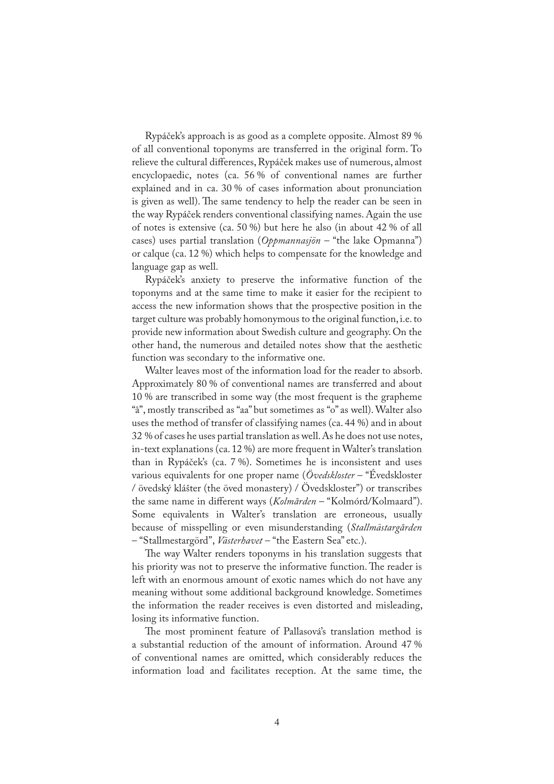Rypáček's approach is as good as a complete opposite. Almost 89 % of all conventional toponyms are transferred in the original form. To relieve the cultural differences, Rypáček makes use of numerous, almost encyclopaedic, notes (ca. 56 % of conventional names are further explained and in ca. 30 % of cases information about pronunciation is given as well). The same tendency to help the reader can be seen in the way Rypáček renders conventional classifying names. Again the use of notes is extensive (ca. 50 %) but here he also (in about 42 % of all cases) uses partial translation (*Oppmannasjön* – "the lake Opmanna") or calque (ca. 12 %) which helps to compensate for the knowledge and language gap as well.

Rypáček's anxiety to preserve the informative function of the toponyms and at the same time to make it easier for the recipient to access the new information shows that the prospective position in the target culture was probably homonymous to the original function, i.e. to provide new information about Swedish culture and geography. On the other hand, the numerous and detailed notes show that the aesthetic function was secondary to the informative one.

Walter leaves most of the information load for the reader to absorb. Approximately 80 % of conventional names are transferred and about 10 % are transcribed in some way (the most frequent is the grapheme "å", mostly transcribed as "aa" but sometimes as "o" as well). Walter also uses the method of transfer of classifying names (ca. 44 %) and in about 32 % of cases he uses partial translation as well. As he does not use notes, in-text explanations (ca. 12 %) are more frequent in Walter's translation than in Rypáček's (ca. 7 %). Sometimes he is inconsistent and uses various equivalents for one proper name (*Övedskloster* – "Évedskloster / övedský klášter (the öved monastery) / Övedskloster") or transcribes the same name in different ways (*Kolmården* – "Kolmórd/Kolmaard"). Some equivalents in Walter's translation are erroneous, usually because of misspelling or even misunderstanding (*Stallmästargården* – "Stallmestargörd", *Västerhavet* – "the Eastern Sea" etc.).

The way Walter renders toponyms in his translation suggests that his priority was not to preserve the informative function. The reader is left with an enormous amount of exotic names which do not have any meaning without some additional background knowledge. Sometimes the information the reader receives is even distorted and misleading, losing its informative function.

�e most prominent feature of Pallasová's translation method is a substantial reduction of the amount of information. Around 47 % of conventional names are omitted, which considerably reduces the information load and facilitates reception. At the same time, the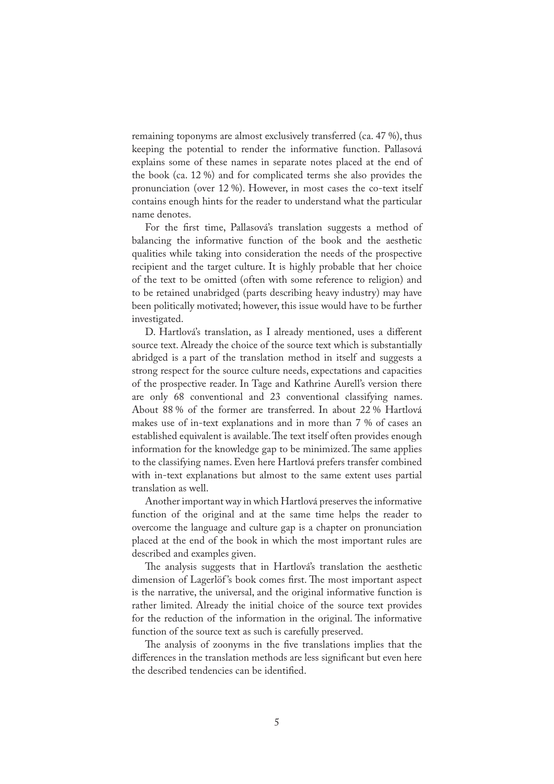remaining toponyms are almost exclusively transferred (ca. 47 %), thus keeping the potential to render the informative function. Pallasová explains some of these names in separate notes placed at the end of the book (ca. 12 %) and for complicated terms she also provides the pronunciation (over 12 %). However, in most cases the co-text itself contains enough hints for the reader to understand what the particular name denotes.

For the first time, Pallasová's translation suggests a method of balancing the informative function of the book and the aesthetic qualities while taking into consideration the needs of the prospective recipient and the target culture. It is highly probable that her choice of the text to be omitted (often with some reference to religion) and to be retained unabridged (parts describing heavy industry) may have been politically motivated; however, this issue would have to be further investigated.

D. Hartlová's translation, as I already mentioned, uses a different source text. Already the choice of the source text which is substantially abridged is a part of the translation method in itself and suggests a strong respect for the source culture needs, expectations and capacities of the prospective reader. In Tage and Kathrine Aurell's version there are only 68 conventional and 23 conventional classifying names. About 88 % of the former are transferred. In about 22 % Hartlová makes use of in-text explanations and in more than 7 % of cases an established equivalent is available. The text itself often provides enough information for the knowledge gap to be minimized. The same applies to the classifying names. Even here Hartlová prefers transfer combined with in-text explanations but almost to the same extent uses partial translation as well.

Another important way in which Hartlová preserves the informative function of the original and at the same time helps the reader to overcome the language and culture gap is a chapter on pronunciation placed at the end of the book in which the most important rules are described and examples given.

�e analysis suggests that in Hartlová's translation the aesthetic dimension of Lagerlöf's book comes first. The most important aspect is the narrative, the universal, and the original informative function is rather limited. Already the initial choice of the source text provides for the reduction of the information in the original. The informative function of the source text as such is carefully preserved.

The analysis of zoonyms in the five translations implies that the differences in the translation methods are less significant but even here the described tendencies can be identified.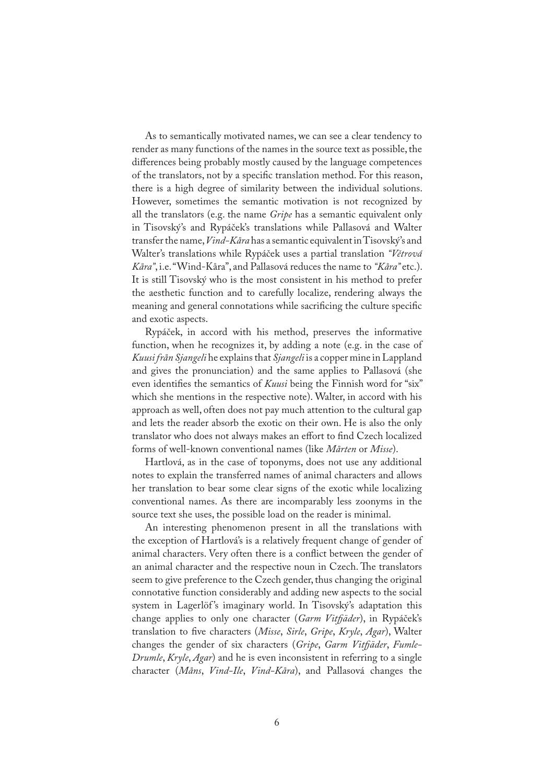As to semantically motivated names, we can see a clear tendency to render as many functions of the names in the source text as possible, the differences being probably mostly caused by the language competences of the translators, not by a speci�c translation method. For this reason, there is a high degree of similarity between the individual solutions. However, sometimes the semantic motivation is not recognized by all the translators (e.g. the name *Gripe* has a semantic equivalent only in Tisovský's and Rypáček's translations while Pallasová and Walter transfer the name, *Vind-Kåra* has a semantic equivalent in Tisovský's and Walter's translations while Rypáček uses a partial translation *"Větrová Kåra"*, i.e. "Wind-Kåra", and Pallasová reduces the name to *"Kåra"* etc.). It is still Tisovský who is the most consistent in his method to prefer the aesthetic function and to carefully localize, rendering always the meaning and general connotations while sacrificing the culture specific and exotic aspects.

Rypáček, in accord with his method, preserves the informative function, when he recognizes it, by adding a note (e.g. in the case of *Kuusi från Sjangeli* he explains that *Sjangeli* is a copper mine in Lappland and gives the pronunciation) and the same applies to Pallasová (she even identifies the semantics of *Kuusi* being the Finnish word for "six" which she mentions in the respective note). Walter, in accord with his approach as well, often does not pay much attention to the cultural gap and lets the reader absorb the exotic on their own. He is also the only translator who does not always makes an effort to find Czech localized forms of well-known conventional names (like *Mårten* or *Misse*).

Hartlová, as in the case of toponyms, does not use any additional notes to explain the transferred names of animal characters and allows her translation to bear some clear signs of the exotic while localizing conventional names. As there are incomparably less zoonyms in the source text she uses, the possible load on the reader is minimal.

An interesting phenomenon present in all the translations with the exception of Hartlová's is a relatively frequent change of gender of animal characters. Very often there is a conflict between the gender of an animal character and the respective noun in Czech. The translators seem to give preference to the Czech gender, thus changing the original connotative function considerably and adding new aspects to the social system in Lagerlöf's imaginary world. In Tisovský's adaptation this change applies to only one character (*Garm Vit�äder*), in Rypáček's translation to five characters (Misse, Sirle, Gripe, Kryle, Agar), Walter changes the gender of six characters (*Gripe*, *Garm Vit�äder*, *Fumle-Drumle*, *Kryle*, *Agar*) and he is even inconsistent in referring to a single character (*Måns*, *Vind-Ile*, *Vind-Kåra*), and Pallasová changes the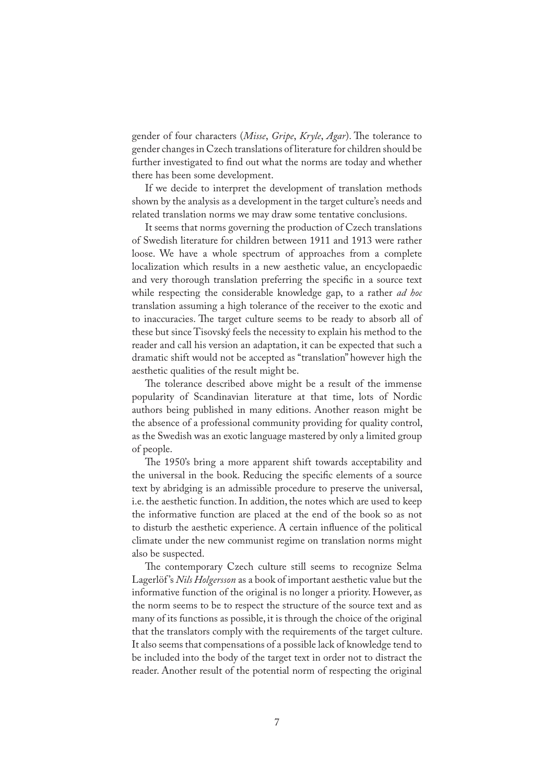gender of four characters (*Misse*, *Gripe*, *Kryle*, *Agar*). �e tolerance to gender changes in Czech translations of literature for children should be further investigated to find out what the norms are today and whether there has been some development.

If we decide to interpret the development of translation methods shown by the analysis as a development in the target culture's needs and related translation norms we may draw some tentative conclusions.

It seems that norms governing the production of Czech translations of Swedish literature for children between 1911 and 1913 were rather loose. We have a whole spectrum of approaches from a complete localization which results in a new aesthetic value, an encyclopaedic and very thorough translation preferring the specific in a source text while respecting the considerable knowledge gap, to a rather *ad hoc* translation assuming a high tolerance of the receiver to the exotic and to inaccuracies. The target culture seems to be ready to absorb all of these but since Tisovský feels the necessity to explain his method to the reader and call his version an adaptation, it can be expected that such a dramatic shift would not be accepted as "translation" however high the aesthetic qualities of the result might be.

The tolerance described above might be a result of the immense popularity of Scandinavian literature at that time, lots of Nordic authors being published in many editions. Another reason might be the absence of a professional community providing for quality control, as the Swedish was an exotic language mastered by only a limited group of people.

�e 1950's bring a more apparent shift towards acceptability and the universal in the book. Reducing the specific elements of a source text by abridging is an admissible procedure to preserve the universal, i.e. the aesthetic function. In addition, the notes which are used to keep the informative function are placed at the end of the book so as not to disturb the aesthetic experience. A certain in�uence of the political climate under the new communist regime on translation norms might also be suspected.

�e contemporary Czech culture still seems to recognize Selma Lagerlöf 's *Nils Holgersson* as a book of important aesthetic value but the informative function of the original is no longer a priority. However, as the norm seems to be to respect the structure of the source text and as many of its functions as possible, it is through the choice of the original that the translators comply with the requirements of the target culture. It also seems that compensations of a possible lack of knowledge tend to be included into the body of the target text in order not to distract the reader. Another result of the potential norm of respecting the original